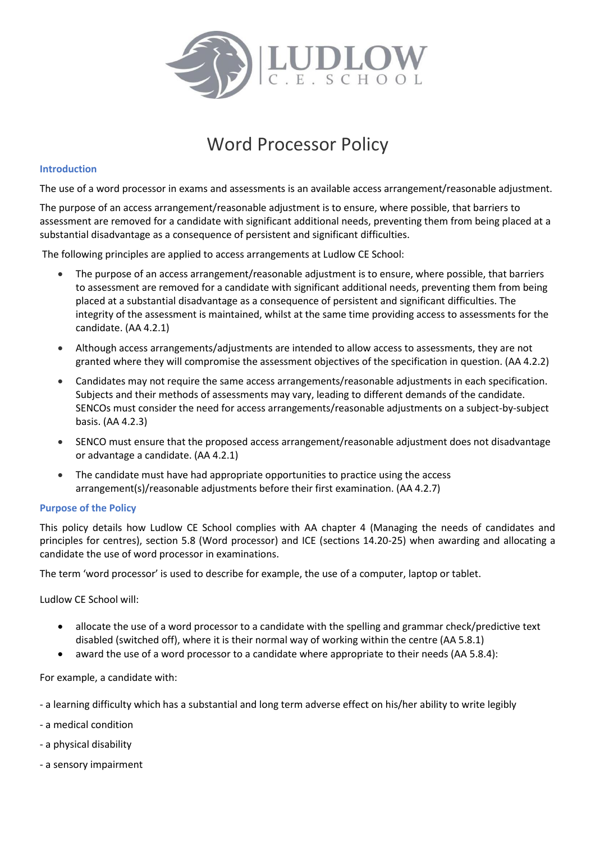

# Word Processor Policy

#### **Introduction**

The use of a word processor in exams and assessments is an available access arrangement/reasonable adjustment.

The purpose of an access arrangement/reasonable adjustment is to ensure, where possible, that barriers to assessment are removed for a candidate with significant additional needs, preventing them from being placed at a substantial disadvantage as a consequence of persistent and significant difficulties.

The following principles are applied to access arrangements at Ludlow CE School:

- The purpose of an access arrangement/reasonable adjustment is to ensure, where possible, that barriers to assessment are removed for a candidate with significant additional needs, preventing them from being placed at a substantial disadvantage as a consequence of persistent and significant difficulties. The integrity of the assessment is maintained, whilst at the same time providing access to assessments for the candidate. (AA 4.2.1)
- Although access arrangements/adjustments are intended to allow access to assessments, they are not granted where they will compromise the assessment objectives of the specification in question. (AA 4.2.2)
- Candidates may not require the same access arrangements/reasonable adjustments in each specification. Subjects and their methods of assessments may vary, leading to different demands of the candidate. SENCOs must consider the need for access arrangements/reasonable adjustments on a subject-by-subject basis. (AA 4.2.3)
- SENCO must ensure that the proposed access arrangement/reasonable adjustment does not disadvantage or advantage a candidate. (AA 4.2.1)
- The candidate must have had appropriate opportunities to practice using the access arrangement(s)/reasonable adjustments before their first examination. (AA 4.2.7)

#### **Purpose of the Policy**

This policy details how Ludlow CE School complies with AA chapter 4 (Managing the needs of candidates and principles for centres), section 5.8 (Word processor) and ICE (sections 14.20-25) when awarding and allocating a candidate the use of word processor in examinations.

The term 'word processor' is used to describe for example, the use of a computer, laptop or tablet.

Ludlow CE School will:

- allocate the use of a word processor to a candidate with the spelling and grammar check/predictive text disabled (switched off), where it is their normal way of working within the centre (AA 5.8.1)
- award the use of a word processor to a candidate where appropriate to their needs (AA 5.8.4):

For example, a candidate with:

- a learning difficulty which has a substantial and long term adverse effect on his/her ability to write legibly
- a medical condition
- a physical disability
- a sensory impairment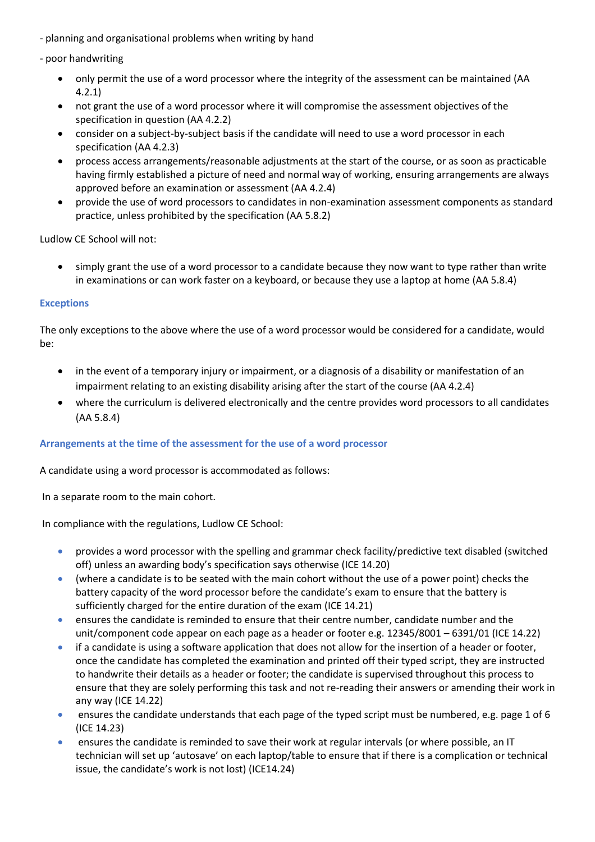- planning and organisational problems when writing by hand
- poor handwriting
	- only permit the use of a word processor where the integrity of the assessment can be maintained (AA 4.2.1)
	- not grant the use of a word processor where it will compromise the assessment objectives of the specification in question (AA 4.2.2)
	- consider on a subject-by-subject basis if the candidate will need to use a word processor in each specification (AA 4.2.3)
	- process access arrangements/reasonable adjustments at the start of the course, or as soon as practicable having firmly established a picture of need and normal way of working, ensuring arrangements are always approved before an examination or assessment (AA 4.2.4)
	- provide the use of word processors to candidates in non-examination assessment components as standard practice, unless prohibited by the specification (AA 5.8.2)

Ludlow CE School will not:

 simply grant the use of a word processor to a candidate because they now want to type rather than write in examinations or can work faster on a keyboard, or because they use a laptop at home (AA 5.8.4)

## **Exceptions**

The only exceptions to the above where the use of a word processor would be considered for a candidate, would be:

- in the event of a temporary injury or impairment, or a diagnosis of a disability or manifestation of an impairment relating to an existing disability arising after the start of the course (AA 4.2.4)
- where the curriculum is delivered electronically and the centre provides word processors to all candidates (AA 5.8.4)

## **Arrangements at the time of the assessment for the use of a word processor**

A candidate using a word processor is accommodated as follows:

In a separate room to the main cohort.

In compliance with the regulations, Ludlow CE School:

- **•** provides a word processor with the spelling and grammar check facility/predictive text disabled (switched off) unless an awarding body's specification says otherwise (ICE 14.20)
- (where a candidate is to be seated with the main cohort without the use of a power point) checks the battery capacity of the word processor before the candidate's exam to ensure that the battery is sufficiently charged for the entire duration of the exam (ICE 14.21)
- ensures the candidate is reminded to ensure that their centre number, candidate number and the unit/component code appear on each page as a header or footer e.g. 12345/8001 – 6391/01 (ICE 14.22)
- if a candidate is using a software application that does not allow for the insertion of a header or footer, once the candidate has completed the examination and printed off their typed script, they are instructed to handwrite their details as a header or footer; the candidate is supervised throughout this process to ensure that they are solely performing this task and not re-reading their answers or amending their work in any way (ICE 14.22)
- ensures the candidate understands that each page of the typed script must be numbered, e.g. page 1 of 6 (ICE 14.23)
- ensures the candidate is reminded to save their work at regular intervals (or where possible, an IT technician will set up 'autosave' on each laptop/table to ensure that if there is a complication or technical issue, the candidate's work is not lost) (ICE14.24)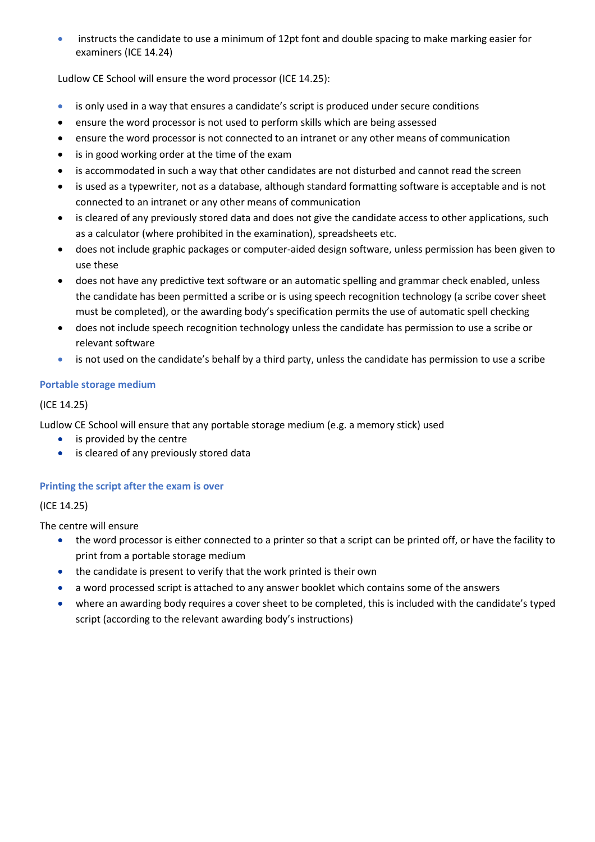instructs the candidate to use a minimum of 12pt font and double spacing to make marking easier for examiners (ICE 14.24)

Ludlow CE School will ensure the word processor (ICE 14.25):

- is only used in a way that ensures a candidate's script is produced under secure conditions
- ensure the word processor is not used to perform skills which are being assessed
- ensure the word processor is not connected to an intranet or any other means of communication
- is in good working order at the time of the exam
- is accommodated in such a way that other candidates are not disturbed and cannot read the screen
- is used as a typewriter, not as a database, although standard formatting software is acceptable and is not connected to an intranet or any other means of communication
- is cleared of any previously stored data and does not give the candidate access to other applications, such as a calculator (where prohibited in the examination), spreadsheets etc.
- does not include graphic packages or computer-aided design software, unless permission has been given to use these
- does not have any predictive text software or an automatic spelling and grammar check enabled, unless the candidate has been permitted a scribe or is using speech recognition technology (a scribe cover sheet must be completed), or the awarding body's specification permits the use of automatic spell checking
- does not include speech recognition technology unless the candidate has permission to use a scribe or relevant software
- is not used on the candidate's behalf by a third party, unless the candidate has permission to use a scribe

## **Portable storage medium**

## (ICE 14.25)

Ludlow CE School will ensure that any portable storage medium (e.g. a memory stick) used

- is provided by the centre
- is cleared of any previously stored data

## **Printing the script after the exam is over**

(ICE 14.25)

The centre will ensure

- the word processor is either connected to a printer so that a script can be printed off, or have the facility to print from a portable storage medium
- the candidate is present to verify that the work printed is their own
- a word processed script is attached to any answer booklet which contains some of the answers
- where an awarding body requires a cover sheet to be completed, this is included with the candidate's typed script (according to the relevant awarding body's instructions)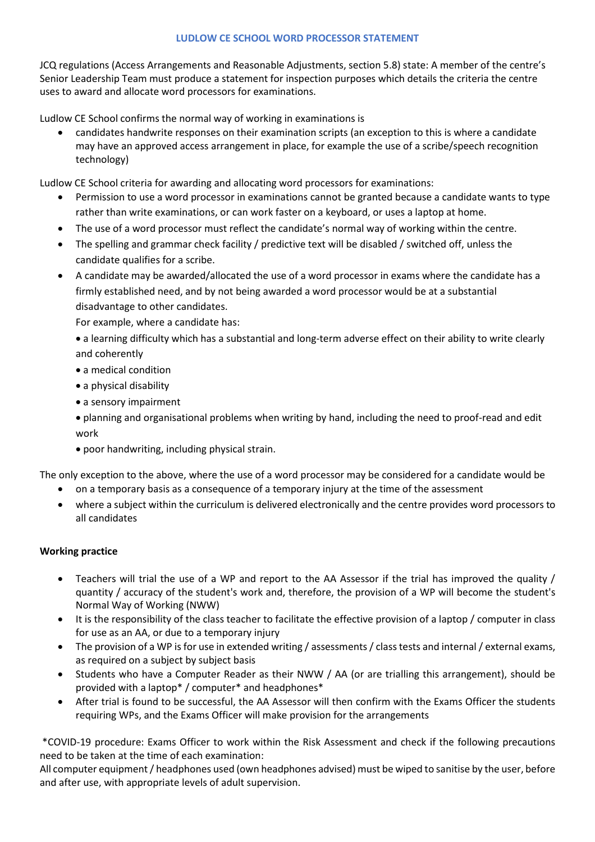#### **LUDLOW CE SCHOOL WORD PROCESSOR STATEMENT**

JCQ regulations (Access Arrangements and Reasonable Adjustments, section 5.8) state: A member of the centre's Senior Leadership Team must produce a statement for inspection purposes which details the criteria the centre uses to award and allocate word processors for examinations.

Ludlow CE School confirms the normal way of working in examinations is

 candidates handwrite responses on their examination scripts (an exception to this is where a candidate may have an approved access arrangement in place, for example the use of a scribe/speech recognition technology)

Ludlow CE School criteria for awarding and allocating word processors for examinations:

- Permission to use a word processor in examinations cannot be granted because a candidate wants to type rather than write examinations, or can work faster on a keyboard, or uses a laptop at home.
- The use of a word processor must reflect the candidate's normal way of working within the centre.
- The spelling and grammar check facility / predictive text will be disabled / switched off, unless the candidate qualifies for a scribe.
- A candidate may be awarded/allocated the use of a word processor in exams where the candidate has a firmly established need, and by not being awarded a word processor would be at a substantial disadvantage to other candidates.

For example, where a candidate has:

 a learning difficulty which has a substantial and long-term adverse effect on their ability to write clearly and coherently

- a medical condition
- a physical disability
- a sensory impairment

 planning and organisational problems when writing by hand, including the need to proof-read and edit work

poor handwriting, including physical strain.

The only exception to the above, where the use of a word processor may be considered for a candidate would be

- on a temporary basis as a consequence of a temporary injury at the time of the assessment
- where a subject within the curriculum is delivered electronically and the centre provides word processors to all candidates

## **Working practice**

- Teachers will trial the use of a WP and report to the AA Assessor if the trial has improved the quality / quantity / accuracy of the student's work and, therefore, the provision of a WP will become the student's Normal Way of Working (NWW)
- It is the responsibility of the class teacher to facilitate the effective provision of a laptop / computer in class for use as an AA, or due to a temporary injury
- The provision of a WP is for use in extended writing / assessments / class tests and internal / external exams, as required on a subject by subject basis
- Students who have a Computer Reader as their NWW / AA (or are trialling this arrangement), should be provided with a laptop\* / computer\* and headphones\*
- After trial is found to be successful, the AA Assessor will then confirm with the Exams Officer the students requiring WPs, and the Exams Officer will make provision for the arrangements

\*COVID-19 procedure: Exams Officer to work within the Risk Assessment and check if the following precautions need to be taken at the time of each examination:

All computer equipment / headphones used (own headphones advised) must be wiped to sanitise by the user, before and after use, with appropriate levels of adult supervision.